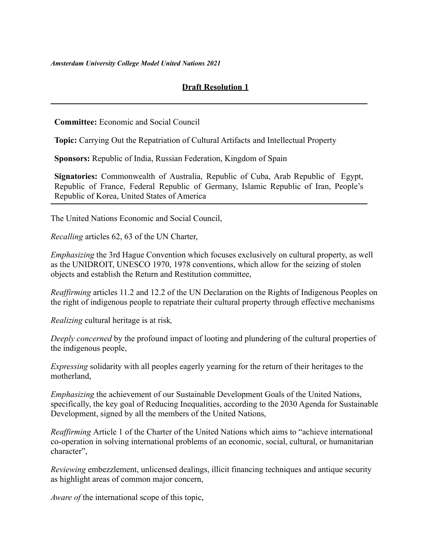*Amsterdam University College Model United Nations 2021*

## **Draft Resolution 1**

**Committee:** Economic and Social Council

**Topic:** Carrying Out the Repatriation of Cultural Artifacts and Intellectual Property

**Sponsors:** Republic of India, Russian Federation, Kingdom of Spain

**Signatories:** Commonwealth of Australia, Republic of Cuba, Arab Republic of Egypt, Republic of France, Federal Republic of Germany, Islamic Republic of Iran, People's Republic of Korea, United States of America

The United Nations Economic and Social Council,

*Recalling* articles 62, 63 of the UN Charter,

*Emphasizing* the 3rd Hague Convention which focuses exclusively on cultural property, as well as the UNIDROIT, UNESCO 1970, 1978 conventions, which allow for the seizing of stolen objects and establish the Return and Restitution committee,

*Reaffirming* articles 11.2 and 12.2 of the UN Declaration on the Rights of Indigenous Peoples on the right of indigenous people to repatriate their cultural property through effective mechanisms

*Realizing* cultural heritage is at risk*,*

*Deeply concerned* by the profound impact of looting and plundering of the cultural properties of the indigenous people,

*Expressing* solidarity with all peoples eagerly yearning for the return of their heritages to the motherland,

*Emphasizing* the achievement of our Sustainable Development Goals of the United Nations, specifically, the key goal of Reducing Inequalities, according to the 2030 Agenda for Sustainable Development, signed by all the members of the United Nations,

*Reaffirming* Article 1 of the Charter of the United Nations which aims to "achieve international co-operation in solving international problems of an economic, social, cultural, or humanitarian character",

*Reviewing* embezzlement, unlicensed dealings, illicit financing techniques and antique security as highlight areas of common major concern,

*Aware of* the international scope of this topic,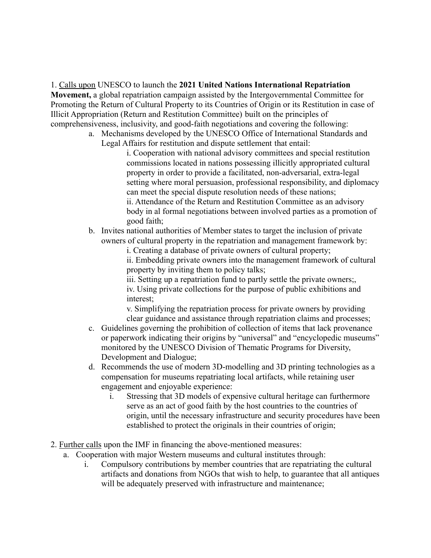1. Calls upon UNESCO to launch the **2021 United Nations International Repatriation Movement,** a global repatriation campaign assisted by the Intergovernmental Committee for Promoting the Return of Cultural Property to its Countries of Origin or its Restitution in case of Illicit Appropriation (Return and Restitution Committee) built on the principles of comprehensiveness, inclusivity, and good-faith negotiations and covering the following:

a. Mechanisms developed by the UNESCO Office of International Standards and Legal Affairs for restitution and dispute settlement that entail:

i. Cooperation with national advisory committees and special restitution commissions located in nations possessing illicitly appropriated cultural property in order to provide a facilitated, non-adversarial, extra-legal setting where moral persuasion, professional responsibility, and diplomacy can meet the special dispute resolution needs of these nations; ii. Attendance of the Return and Restitution Committee as an advisory body in al formal negotiations between involved parties as a promotion of good faith;

b. Invites national authorities of Member states to target the inclusion of private owners of cultural property in the repatriation and management framework by:

i. Creating a database of private owners of cultural property;

ii. Embedding private owners into the management framework of cultural property by inviting them to policy talks;

iii. Setting up a repatriation fund to partly settle the private owners;, iv. Using private collections for the purpose of public exhibitions and interest;

v. Simplifying the repatriation process for private owners by providing clear guidance and assistance through repatriation claims and processes;

- c. Guidelines governing the prohibition of collection of items that lack provenance or paperwork indicating their origins by "universal" and "encyclopedic museums" monitored by the UNESCO Division of Thematic Programs for Diversity, Development and Dialogue;
- d. Recommends the use of modern 3D-modelling and 3D printing technologies as a compensation for museums repatriating local artifacts, while retaining user engagement and enjoyable experience:
	- i. Stressing that 3D models of expensive cultural heritage can furthermore serve as an act of good faith by the host countries to the countries of origin, until the necessary infrastructure and security procedures have been established to protect the originals in their countries of origin;
- 2. Further calls upon the IMF in financing the above-mentioned measures:
	- a. Cooperation with major Western museums and cultural institutes through:
		- i. Compulsory contributions by member countries that are repatriating the cultural artifacts and donations from NGOs that wish to help, to guarantee that all antiques will be adequately preserved with infrastructure and maintenance;